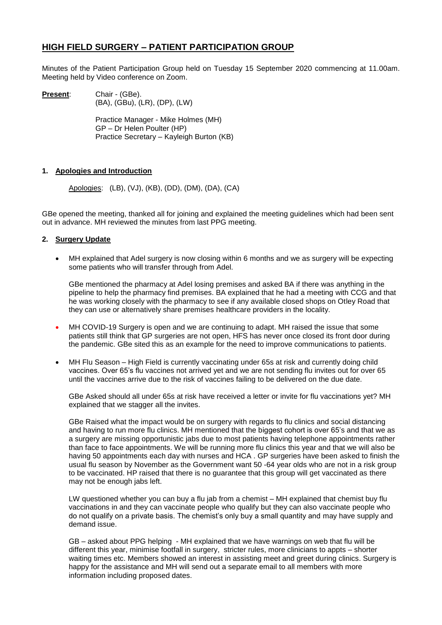# **HIGH FIELD SURGERY – PATIENT PARTICIPATION GROUP**

Minutes of the Patient Participation Group held on Tuesday 15 September 2020 commencing at 11.00am. Meeting held by Video conference on Zoom.

**Present:** Chair - (GBe). (BA), (GBu), (LR), (DP), (LW)

> Practice Manager - Mike Holmes (MH) GP – Dr Helen Poulter (HP) Practice Secretary – Kayleigh Burton (KB)

### **1. Apologies and Introduction**

Apologies: (LB), (VJ), (KB), (DD), (DM), (DA), (CA)

GBe opened the meeting, thanked all for joining and explained the meeting guidelines which had been sent out in advance. MH reviewed the minutes from last PPG meeting.

### **2. Surgery Update**

 MH explained that Adel surgery is now closing within 6 months and we as surgery will be expecting some patients who will transfer through from Adel.

GBe mentioned the pharmacy at Adel losing premises and asked BA if there was anything in the pipeline to help the pharmacy find premises. BA explained that he had a meeting with CCG and that he was working closely with the pharmacy to see if any available closed shops on Otley Road that they can use or alternatively share premises healthcare providers in the locality.

- MH COVID-19 Surgery is open and we are continuing to adapt. MH raised the issue that some patients still think that GP surgeries are not open, HFS has never once closed its front door during the pandemic. GBe sited this as an example for the need to improve communications to patients.
- MH Flu Season High Field is currently vaccinating under 65s at risk and currently doing child vaccines. Over 65's flu vaccines not arrived yet and we are not sending flu invites out for over 65 until the vaccines arrive due to the risk of vaccines failing to be delivered on the due date.

GBe Asked should all under 65s at risk have received a letter or invite for flu vaccinations yet? MH explained that we stagger all the invites.

GBe Raised what the impact would be on surgery with regards to flu clinics and social distancing and having to run more flu clinics. MH mentioned that the biggest cohort is over 65's and that we as a surgery are missing opportunistic jabs due to most patients having telephone appointments rather than face to face appointments. We will be running more flu clinics this year and that we will also be having 50 appointments each day with nurses and HCA . GP surgeries have been asked to finish the usual flu season by November as the Government want 50 -64 year olds who are not in a risk group to be vaccinated. HP raised that there is no guarantee that this group will get vaccinated as there may not be enough jabs left.

LW questioned whether you can buy a flu jab from a chemist – MH explained that chemist buy flu vaccinations in and they can vaccinate people who qualify but they can also vaccinate people who do not qualify on a private basis. The chemist's only buy a small quantity and may have supply and demand issue.

GB – asked about PPG helping - MH explained that we have warnings on web that flu will be different this year, minimise footfall in surgery, stricter rules, more clinicians to appts – shorter waiting times etc. Members showed an interest in assisting meet and greet during clinics. Surgery is happy for the assistance and MH will send out a separate email to all members with more information including proposed dates.